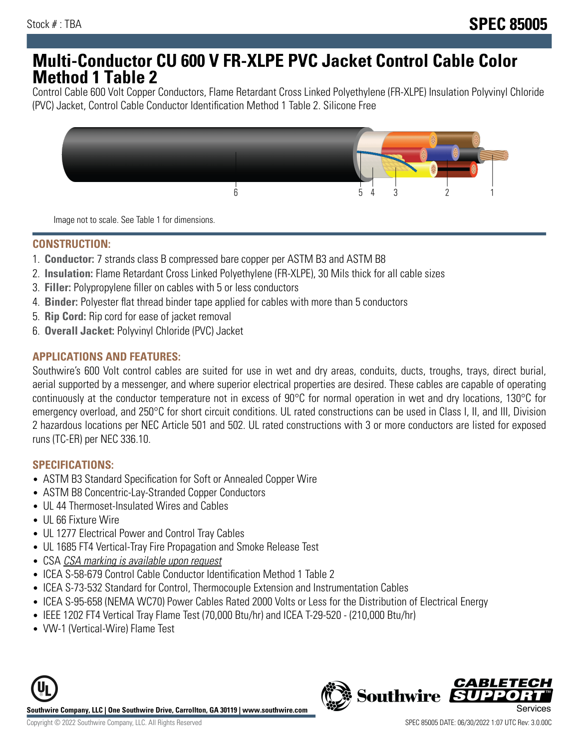## **Multi-Conductor CU 600 V FR-XLPE PVC Jacket Control Cable Color Method 1 Table 2**

Control Cable 600 Volt Copper Conductors, Flame Retardant Cross Linked Polyethylene (FR-XLPE) Insulation Polyvinyl Chloride (PVC) Jacket, Control Cable Conductor Identification Method 1 Table 2. Silicone Free



Image not to scale. See Table 1 for dimensions.

## **CONSTRUCTION:**

- 1. **Conductor:** 7 strands class B compressed bare copper per ASTM B3 and ASTM B8
- 2. **Insulation:** Flame Retardant Cross Linked Polyethylene (FR-XLPE), 30 Mils thick for all cable sizes
- 3. **Filler:** Polypropylene filler on cables with 5 or less conductors
- 4. **Binder:** Polyester flat thread binder tape applied for cables with more than 5 conductors
- 5. **Rip Cord:** Rip cord for ease of jacket removal
- 6. **Overall Jacket:** Polyvinyl Chloride (PVC) Jacket

#### **APPLICATIONS AND FEATURES:**

Southwire's 600 Volt control cables are suited for use in wet and dry areas, conduits, ducts, troughs, trays, direct burial, aerial supported by a messenger, and where superior electrical properties are desired. These cables are capable of operating continuously at the conductor temperature not in excess of 90°C for normal operation in wet and dry locations, 130°C for emergency overload, and 250°C for short circuit conditions. UL rated constructions can be used in Class I, II, and III, Division 2 hazardous locations per NEC Article 501 and 502. UL rated constructions with 3 or more conductors are listed for exposed runs (TC-ER) per NEC 336.10.

#### **SPECIFICATIONS:**

- ASTM B3 Standard Specification for Soft or Annealed Copper Wire
- ASTM B8 Concentric-Lay-Stranded Copper Conductors
- UL 44 Thermoset-Insulated Wires and Cables
- UL 66 Fixture Wire
- UL 1277 Electrical Power and Control Tray Cables
- UL 1685 FT4 Vertical-Tray Fire Propagation and Smoke Release Test
- CSA CSA marking is available upon request
- ICEA S-58-679 Control Cable Conductor Identification Method 1 Table 2
- ICEA S-73-532 Standard for Control, Thermocouple Extension and Instrumentation Cables
- ICEA S-95-658 (NEMA WC70) Power Cables Rated 2000 Volts or Less for the Distribution of Electrical Energy
- IEEE 1202 FT4 Vertical Tray Flame Test (70,000 Btu/hr) and ICEA T-29-520 (210,000 Btu/hr)
- VW-1 (Vertical-Wire) Flame Test



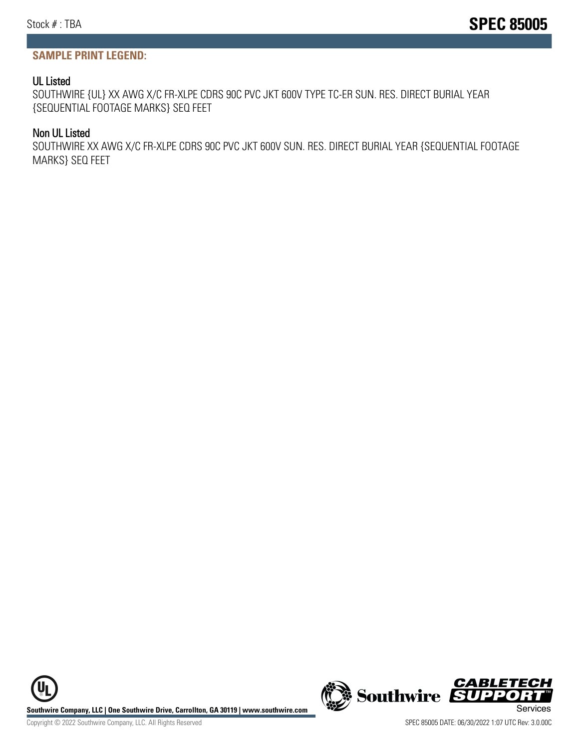#### **SAMPLE PRINT LEGEND:**

#### UL Listed

SOUTHWIRE {UL} XX AWG X/C FR-XLPE CDRS 90C PVC JKT 600V TYPE TC-ER SUN. RES. DIRECT BURIAL YEAR {SEQUENTIAL FOOTAGE MARKS} SEQ FEET

#### Non UL Listed

SOUTHWIRE XX AWG X/C FR-XLPE CDRS 90C PVC JKT 600V SUN. RES. DIRECT BURIAL YEAR {SEQUENTIAL FOOTAGE MARKS} SEQ FEET

**Southwire Company, LLC | One Southwire Drive, Carrollton, GA 30119 | www.southwire.com (New Southwire SUPPORTINGLY)**